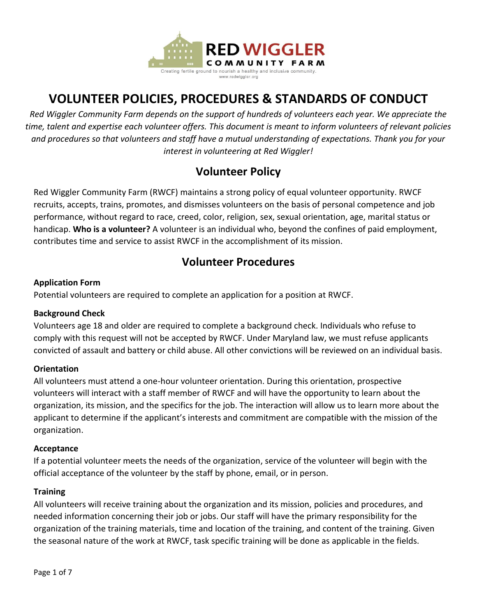

# **VOLUNTEER POLICIES, PROCEDURES & STANDARDS OF CONDUCT**

*Red Wiggler Community Farm depends on the support of hundreds of volunteers each year. We appreciate the time, talent and expertise each volunteer offers. This document is meant to inform volunteers of relevant policies and procedures so that volunteers and staff have a mutual understanding of expectations. Thank you for your interest in volunteering at Red Wiggler!*

## **Volunteer Policy**

Red Wiggler Community Farm (RWCF) maintains a strong policy of equal volunteer opportunity. RWCF recruits, accepts, trains, promotes, and dismisses volunteers on the basis of personal competence and job performance, without regard to race, creed, color, religion, sex, sexual orientation, age, marital status or handicap. **Who is a volunteer?** A volunteer is an individual who, beyond the confines of paid employment, contributes time and service to assist RWCF in the accomplishment of its mission.

## **Volunteer Procedures**

#### **Application Form**

Potential volunteers are required to complete an application for a position at RWCF.

#### **Background Check**

Volunteers age 18 and older are required to complete a background check. Individuals who refuse to comply with this request will not be accepted by RWCF. Under Maryland law, we must refuse applicants convicted of assault and battery or child abuse. All other convictions will be reviewed on an individual basis.

## **Orientation**

All volunteers must attend a one-hour volunteer orientation. During this orientation, prospective volunteers will interact with a staff member of RWCF and will have the opportunity to learn about the organization, its mission, and the specifics for the job. The interaction will allow us to learn more about the applicant to determine if the applicant's interests and commitment are compatible with the mission of the organization.

#### **Acceptance**

If a potential volunteer meets the needs of the organization, service of the volunteer will begin with the official acceptance of the volunteer by the staff by phone, email, or in person.

#### **Training**

All volunteers will receive training about the organization and its mission, policies and procedures, and needed information concerning their job or jobs. Our staff will have the primary responsibility for the organization of the training materials, time and location of the training, and content of the training. Given the seasonal nature of the work at RWCF, task specific training will be done as applicable in the fields.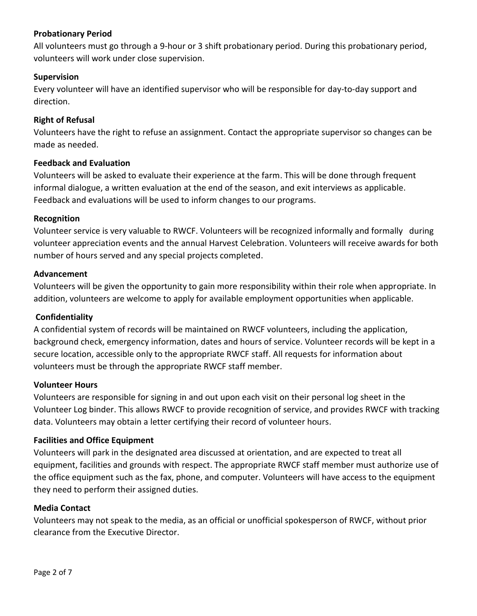#### **Probationary Period**

All volunteers must go through a 9-hour or 3 shift probationary period. During this probationary period, volunteers will work under close supervision.

#### **Supervision**

Every volunteer will have an identified supervisor who will be responsible for day-to-day support and direction.

#### **Right of Refusal**

Volunteers have the right to refuse an assignment. Contact the appropriate supervisor so changes can be made as needed.

#### **Feedback and Evaluation**

Volunteers will be asked to evaluate their experience at the farm. This will be done through frequent informal dialogue, a written evaluation at the end of the season, and exit interviews as applicable. Feedback and evaluations will be used to inform changes to our programs.

#### **Recognition**

Volunteer service is very valuable to RWCF. Volunteers will be recognized informally and formally during volunteer appreciation events and the annual Harvest Celebration. Volunteers will receive awards for both number of hours served and any special projects completed.

#### **Advancement**

Volunteers will be given the opportunity to gain more responsibility within their role when appropriate. In addition, volunteers are welcome to apply for available employment opportunities when applicable.

#### **Confidentiality**

A confidential system of records will be maintained on RWCF volunteers, including the application, background check, emergency information, dates and hours of service. Volunteer records will be kept in a secure location, accessible only to the appropriate RWCF staff. All requests for information about volunteers must be through the appropriate RWCF staff member.

#### **Volunteer Hours**

Volunteers are responsible for signing in and out upon each visit on their personal log sheet in the Volunteer Log binder. This allows RWCF to provide recognition of service, and provides RWCF with tracking data. Volunteers may obtain a letter certifying their record of volunteer hours.

#### **Facilities and Office Equipment**

Volunteers will park in the designated area discussed at orientation, and are expected to treat all equipment, facilities and grounds with respect. The appropriate RWCF staff member must authorize use of the office equipment such as the fax, phone, and computer. Volunteers will have access to the equipment they need to perform their assigned duties.

#### **Media Contact**

Volunteers may not speak to the media, as an official or unofficial spokesperson of RWCF, without prior clearance from the Executive Director.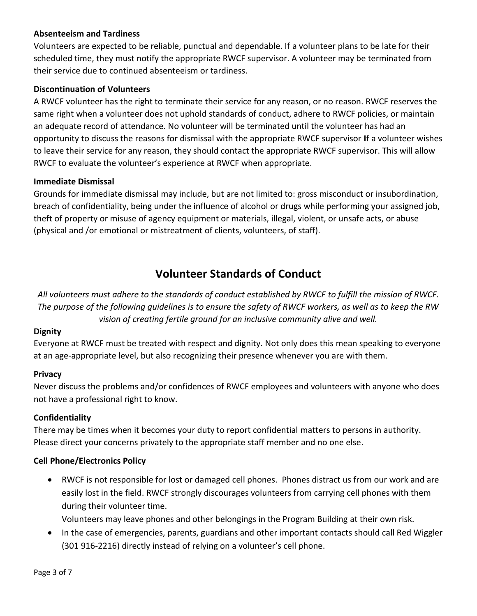### **Absenteeism and Tardiness**

Volunteers are expected to be reliable, punctual and dependable. If a volunteer plans to be late for their scheduled time, they must notify the appropriate RWCF supervisor. A volunteer may be terminated from their service due to continued absenteeism or tardiness.

#### **Discontinuation of Volunteers**

A RWCF volunteer has the right to terminate their service for any reason, or no reason. RWCF reserves the same right when a volunteer does not uphold standards of conduct, adhere to RWCF policies, or maintain an adequate record of attendance. No volunteer will be terminated until the volunteer has had an opportunity to discuss the reasons for dismissal with the appropriate RWCF supervisor **I**f a volunteer wishes to leave their service for any reason, they should contact the appropriate RWCF supervisor. This will allow RWCF to evaluate the volunteer's experience at RWCF when appropriate.

#### **Immediate Dismissal**

Grounds for immediate dismissal may include, but are not limited to: gross misconduct or insubordination, breach of confidentiality, being under the influence of alcohol or drugs while performing your assigned job, theft of property or misuse of agency equipment or materials, illegal, violent, or unsafe acts, or abuse (physical and /or emotional or mistreatment of clients, volunteers, of staff).

## **Volunteer Standards of Conduct**

*All volunteers must adhere to the standards of conduct established by RWCF to fulfill the mission of RWCF. The purpose of the following guidelines is to ensure the safety of RWCF workers, as well as to keep the RW vision of creating fertile ground for an inclusive community alive and well.*

#### **Dignity**

Everyone at RWCF must be treated with respect and dignity. Not only does this mean speaking to everyone at an age-appropriate level, but also recognizing their presence whenever you are with them.

#### **Privacy**

Never discuss the problems and/or confidences of RWCF employees and volunteers with anyone who does not have a professional right to know.

#### **Confidentiality**

There may be times when it becomes your duty to report confidential matters to persons in authority. Please direct your concerns privately to the appropriate staff member and no one else.

#### **Cell Phone/Electronics Policy**

 RWCF is not responsible for lost or damaged cell phones. Phones distract us from our work and are easily lost in the field. RWCF strongly discourages volunteers from carrying cell phones with them during their volunteer time.

Volunteers may leave phones and other belongings in the Program Building at their own risk.

• In the case of emergencies, parents, guardians and other important contacts should call Red Wiggler (301 916-2216) directly instead of relying on a volunteer's cell phone.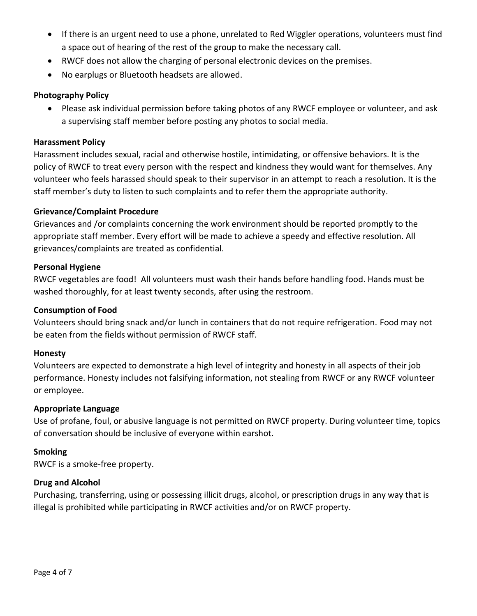- If there is an urgent need to use a phone, unrelated to Red Wiggler operations, volunteers must find a space out of hearing of the rest of the group to make the necessary call.
- RWCF does not allow the charging of personal electronic devices on the premises.
- No earplugs or Bluetooth headsets are allowed.

#### **Photography Policy**

 Please ask individual permission before taking photos of any RWCF employee or volunteer, and ask a supervising staff member before posting any photos to social media.

#### **Harassment Policy**

Harassment includes sexual, racial and otherwise hostile, intimidating, or offensive behaviors. It is the policy of RWCF to treat every person with the respect and kindness they would want for themselves. Any volunteer who feels harassed should speak to their supervisor in an attempt to reach a resolution. It is the staff member's duty to listen to such complaints and to refer them the appropriate authority.

#### **Grievance/Complaint Procedure**

Grievances and /or complaints concerning the work environment should be reported promptly to the appropriate staff member. Every effort will be made to achieve a speedy and effective resolution. All grievances/complaints are treated as confidential.

#### **Personal Hygiene**

RWCF vegetables are food! All volunteers must wash their hands before handling food. Hands must be washed thoroughly, for at least twenty seconds, after using the restroom.

#### **Consumption of Food**

Volunteers should bring snack and/or lunch in containers that do not require refrigeration. Food may not be eaten from the fields without permission of RWCF staff.

#### **Honesty**

Volunteers are expected to demonstrate a high level of integrity and honesty in all aspects of their job performance. Honesty includes not falsifying information, not stealing from RWCF or any RWCF volunteer or employee.

#### **Appropriate Language**

Use of profane, foul, or abusive language is not permitted on RWCF property. During volunteer time, topics of conversation should be inclusive of everyone within earshot.

#### **Smoking**

RWCF is a smoke-free property.

#### **Drug and Alcohol**

Purchasing, transferring, using or possessing illicit drugs, alcohol, or prescription drugs in any way that is illegal is prohibited while participating in RWCF activities and/or on RWCF property.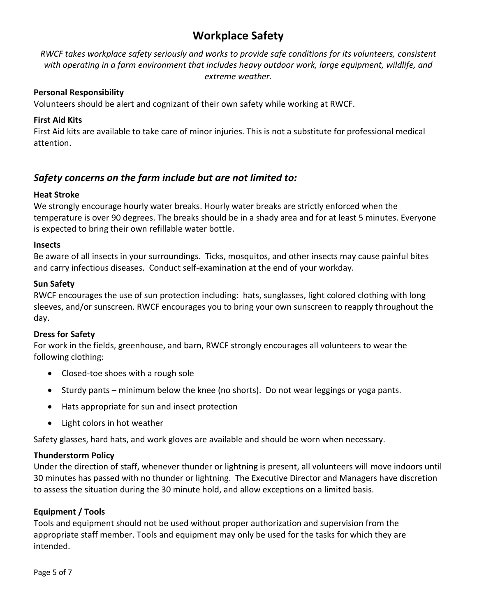## **Workplace Safety**

*RWCF takes workplace safety seriously and works to provide safe conditions for its volunteers, consistent with operating in a farm environment that includes heavy outdoor work, large equipment, wildlife, and extreme weather.*

#### **Personal Responsibility**

Volunteers should be alert and cognizant of their own safety while working at RWCF.

#### **First Aid Kits**

First Aid kits are available to take care of minor injuries. This is not a substitute for professional medical attention.

## *Safety concerns on the farm include but are not limited to:*

#### **Heat Stroke**

We strongly encourage hourly water breaks. Hourly water breaks are strictly enforced when the temperature is over 90 degrees. The breaks should be in a shady area and for at least 5 minutes. Everyone is expected to bring their own refillable water bottle.

#### **Insects**

Be aware of all insects in your surroundings. Ticks, mosquitos, and other insects may cause painful bites and carry infectious diseases. Conduct self-examination at the end of your workday.

#### **Sun Safety**

RWCF encourages the use of sun protection including: hats, sunglasses, light colored clothing with long sleeves, and/or sunscreen. RWCF encourages you to bring your own sunscreen to reapply throughout the day.

#### **Dress for Safety**

For work in the fields, greenhouse, and barn, RWCF strongly encourages all volunteers to wear the following clothing:

- Closed-toe shoes with a rough sole
- $\bullet$  Sturdy pants minimum below the knee (no shorts). Do not wear leggings or yoga pants.
- Hats appropriate for sun and insect protection
- Light colors in hot weather

Safety glasses, hard hats, and work gloves are available and should be worn when necessary.

#### **Thunderstorm Policy**

Under the direction of staff, whenever thunder or lightning is present, all volunteers will move indoors until 30 minutes has passed with no thunder or lightning. The Executive Director and Managers have discretion to assess the situation during the 30 minute hold, and allow exceptions on a limited basis.

#### **Equipment / Tools**

Tools and equipment should not be used without proper authorization and supervision from the appropriate staff member. Tools and equipment may only be used for the tasks for which they are intended.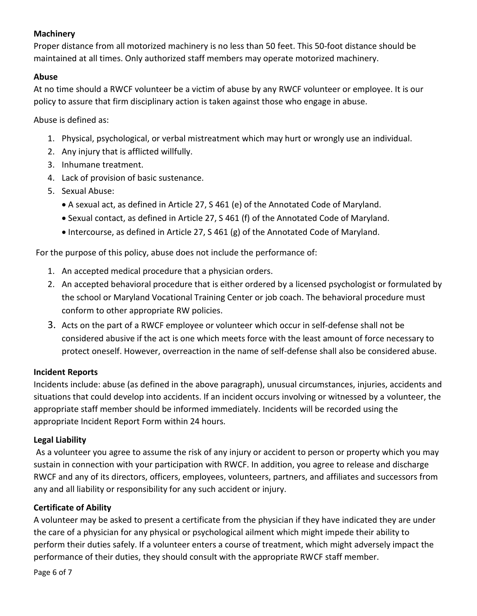## **Machinery**

Proper distance from all motorized machinery is no less than 50 feet. This 50-foot distance should be maintained at all times. Only authorized staff members may operate motorized machinery.

## **Abuse**

At no time should a RWCF volunteer be a victim of abuse by any RWCF volunteer or employee. It is our policy to assure that firm disciplinary action is taken against those who engage in abuse.

Abuse is defined as:

- 1. Physical, psychological, or verbal mistreatment which may hurt or wrongly use an individual.
- 2. Any injury that is afflicted willfully.
- 3. Inhumane treatment.
- 4. Lack of provision of basic sustenance.
- 5. Sexual Abuse:
	- A sexual act, as defined in Article 27, S 461 (e) of the Annotated Code of Maryland.
	- Sexual contact, as defined in Article 27, S 461 (f) of the Annotated Code of Maryland.
	- $\bullet$  Intercourse, as defined in Article 27, S 461 (g) of the Annotated Code of Maryland.

For the purpose of this policy, abuse does not include the performance of:

- 1. An accepted medical procedure that a physician orders.
- 2. An accepted behavioral procedure that is either ordered by a licensed psychologist or formulated by the school or Maryland Vocational Training Center or job coach. The behavioral procedure must conform to other appropriate RW policies.
- 3. Acts on the part of a RWCF employee or volunteer which occur in self-defense shall not be considered abusive if the act is one which meets force with the least amount of force necessary to protect oneself. However, overreaction in the name of self-defense shall also be considered abuse.

## **Incident Reports**

Incidents include: abuse (as defined in the above paragraph), unusual circumstances, injuries, accidents and situations that could develop into accidents. If an incident occurs involving or witnessed by a volunteer, the appropriate staff member should be informed immediately. Incidents will be recorded using the appropriate Incident Report Form within 24 hours.

## **Legal Liability**

As a volunteer you agree to assume the risk of any injury or accident to person or property which you may sustain in connection with your participation with RWCF. In addition, you agree to release and discharge RWCF and any of its directors, officers, employees, volunteers, partners, and affiliates and successors from any and all liability or responsibility for any such accident or injury.

## **Certificate of Ability**

A volunteer may be asked to present a certificate from the physician if they have indicated they are under the care of a physician for any physical or psychological ailment which might impede their ability to perform their duties safely. If a volunteer enters a course of treatment, which might adversely impact the performance of their duties, they should consult with the appropriate RWCF staff member.

Page 6 of 7